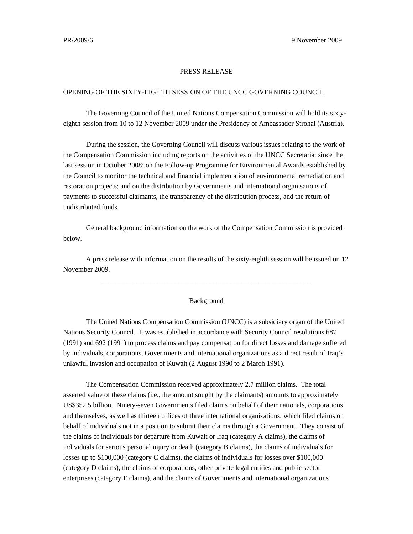## PRESS RELEASE

## OPENING OF THE SIXTY-EIGHTH SESSION OF THE UNCC GOVERNING COUNCIL

 The Governing Council of the United Nations Compensation Commission will hold its sixtyeighth session from 10 to 12 November 2009 under the Presidency of Ambassador Strohal (Austria).

During the session, the Governing Council will discuss various issues relating to the work of the Compensation Commission including reports on the activities of the UNCC Secretariat since the last session in October 2008; on the Follow-up Programme for Environmental Awards established by the Council to monitor the technical and financial implementation of environmental remediation and restoration projects; and on the distribution by Governments and international organisations of payments to successful claimants, the transparency of the distribution process, and the return of undistributed funds.

 General background information on the work of the Compensation Commission is provided below.

 A press release with information on the results of the sixty-eighth session will be issued on 12 November 2009.

\_\_\_\_\_\_\_\_\_\_\_\_\_\_\_\_\_\_\_\_\_\_\_\_\_\_\_\_\_\_\_\_\_\_\_\_\_\_\_\_\_\_\_\_\_\_\_\_\_\_\_\_\_\_\_\_\_\_\_\_

## Background

 The United Nations Compensation Commission (UNCC) is a subsidiary organ of the United Nations Security Council. It was established in accordance with Security Council resolutions 687 (1991) and 692 (1991) to process claims and pay compensation for direct losses and damage suffered by individuals, corporations, Governments and international organizations as a direct result of Iraq's unlawful invasion and occupation of Kuwait (2 August 1990 to 2 March 1991).

 The Compensation Commission received approximately 2.7 million claims. The total asserted value of these claims (i.e., the amount sought by the claimants) amounts to approximately US\$352.5 billion. Ninety-seven Governments filed claims on behalf of their nationals, corporations and themselves, as well as thirteen offices of three international organizations, which filed claims on behalf of individuals not in a position to submit their claims through a Government. They consist of the claims of individuals for departure from Kuwait or Iraq (category A claims), the claims of individuals for serious personal injury or death (category B claims), the claims of individuals for losses up to \$100,000 (category C claims), the claims of individuals for losses over \$100,000 (category D claims), the claims of corporations, other private legal entities and public sector enterprises (category E claims), and the claims of Governments and international organizations